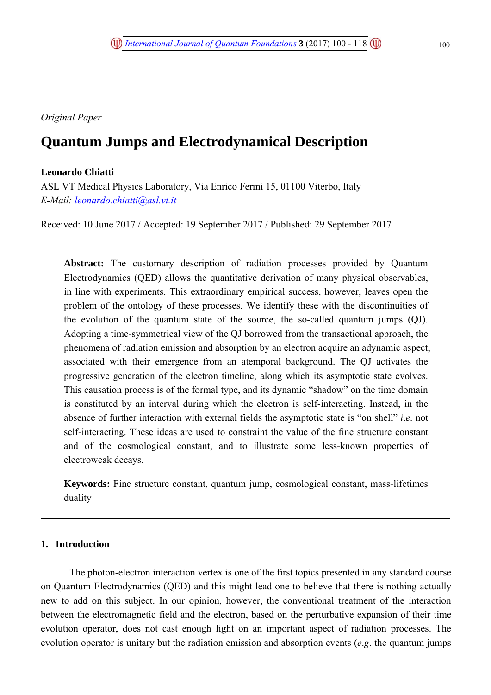*Original Paper*

# **Quantum Jumps and Electrodynamical Description**

# **Leonardo Chiatti**

ASL VT Medical Physics Laboratory, Via Enrico Fermi 15, 01100 Viterbo, Italy *E-Mail: leonardo.chiatti@asl.vt.it*

Received: 10 June 2017 / Accepted: 19 September 2017 / Published: 29 September 2017

**Abstract:** The customary description of radiation processes provided by Quantum Electrodynamics (QED) allows the quantitative derivation of many physical observables, in line with experiments. This extraordinary empirical success, however, leaves open the problem of the ontology of these processes. We identify these with the discontinuities of the evolution of the quantum state of the source, the so-called quantum jumps (QJ). Adopting a time-symmetrical view of the QJ borrowed from the transactional approach, the phenomena of radiation emission and absorption by an electron acquire an adynamic aspect, associated with their emergence from an atemporal background. The QJ activates the progressive generation of the electron timeline, along which its asymptotic state evolves. This causation process is of the formal type, and its dynamic "shadow" on the time domain is constituted by an interval during which the electron is self-interacting. Instead, in the absence of further interaction with external fields the asymptotic state is "on shell" *i*.*e*. not self-interacting. These ideas are used to constraint the value of the fine structure constant and of the cosmological constant, and to illustrate some less-known properties of electroweak decays.

**Keywords:** Fine structure constant, quantum jump, cosmological constant, mass-lifetimes duality

# **1. Introduction**

The photon-electron interaction vertex is one of the first topics presented in any standard course on Quantum Electrodynamics (QED) and this might lead one to believe that there is nothing actually new to add on this subject. In our opinion, however, the conventional treatment of the interaction between the electromagnetic field and the electron, based on the perturbative expansion of their time evolution operator, does not cast enough light on an important aspect of radiation processes. The evolution operator is unitary but the radiation emission and absorption events (*e*.*g*. the quantum jumps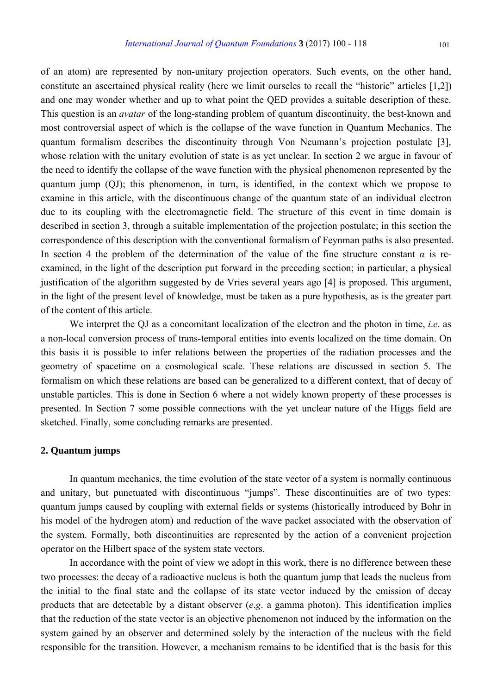of an atom) are represented by non-unitary projection operators. Such events, on the other hand, constitute an ascertained physical reality (here we limit ourseles to recall the "historic" articles [1,2]) and one may wonder whether and up to what point the QED provides a suitable description of these. This question is an *avatar* of the long-standing problem of quantum discontinuity, the best-known and most controversial aspect of which is the collapse of the wave function in Quantum Mechanics. The quantum formalism describes the discontinuity through Von Neumann's projection postulate [3], whose relation with the unitary evolution of state is as yet unclear. In section 2 we argue in favour of the need to identify the collapse of the wave function with the physical phenomenon represented by the quantum jump (QJ); this phenomenon, in turn, is identified, in the context which we propose to examine in this article, with the discontinuous change of the quantum state of an individual electron due to its coupling with the electromagnetic field. The structure of this event in time domain is described in section 3, through a suitable implementation of the projection postulate; in this section the correspondence of this description with the conventional formalism of Feynman paths is also presented. In section 4 the problem of the determination of the value of the fine structure constant  $\alpha$  is reexamined, in the light of the description put forward in the preceding section; in particular, a physical justification of the algorithm suggested by de Vries several years ago [4] is proposed. This argument, in the light of the present level of knowledge, must be taken as a pure hypothesis, as is the greater part of the content of this article.

We interpret the QJ as a concomitant localization of the electron and the photon in time, *i*.*e*. as a non-local conversion process of trans-temporal entities into events localized on the time domain. On this basis it is possible to infer relations between the properties of the radiation processes and the geometry of spacetime on a cosmological scale. These relations are discussed in section 5. The formalism on which these relations are based can be generalized to a different context, that of decay of unstable particles. This is done in Section 6 where a not widely known property of these processes is presented. In Section 7 some possible connections with the yet unclear nature of the Higgs field are sketched. Finally, some concluding remarks are presented.

# **2. Quantum jumps**

In quantum mechanics, the time evolution of the state vector of a system is normally continuous and unitary, but punctuated with discontinuous "jumps". These discontinuities are of two types: quantum jumps caused by coupling with external fields or systems (historically introduced by Bohr in his model of the hydrogen atom) and reduction of the wave packet associated with the observation of the system. Formally, both discontinuities are represented by the action of a convenient projection operator on the Hilbert space of the system state vectors.

In accordance with the point of view we adopt in this work, there is no difference between these two processes: the decay of a radioactive nucleus is both the quantum jump that leads the nucleus from the initial to the final state and the collapse of its state vector induced by the emission of decay products that are detectable by a distant observer (*e*.*g*. a gamma photon). This identification implies that the reduction of the state vector is an objective phenomenon not induced by the information on the system gained by an observer and determined solely by the interaction of the nucleus with the field responsible for the transition. However, a mechanism remains to be identified that is the basis for this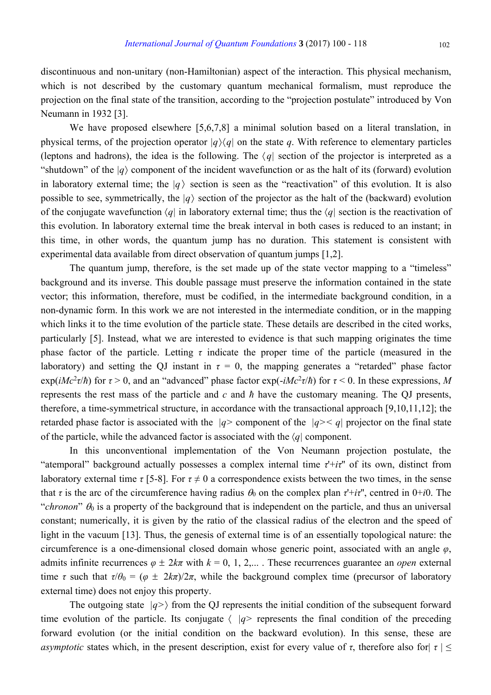discontinuous and non-unitary (non-Hamiltonian) aspect of the interaction. This physical mechanism, which is not described by the customary quantum mechanical formalism, must reproduce the projection on the final state of the transition, according to the "projection postulate" introduced by Von Neumann in 1932 [3].

We have proposed elsewhere [5,6,7,8] a minimal solution based on a literal translation, in physical terms, of the projection operator  $|q\rangle\langle q|$  on the state q. With reference to elementary particles (leptons and hadrons), the idea is the following. The  $\langle q|$  section of the projector is interpreted as a "shutdown" of the *|q*〉 component of the incident wavefunction or as the halt of its (forward) evolution in laboratory external time; the  $|q\rangle$  section is seen as the "reactivation" of this evolution. It is also possible to see, symmetrically, the  $|q\rangle$  section of the projector as the halt of the (backward) evolution of the conjugate wavefunction  $\langle q \rangle$  in laboratory external time; thus the  $\langle q \rangle$  section is the reactivation of this evolution. In laboratory external time the break interval in both cases is reduced to an instant; in this time, in other words, the quantum jump has no duration. This statement is consistent with experimental data available from direct observation of quantum jumps [1,2].

The quantum jump, therefore, is the set made up of the state vector mapping to a "timeless" background and its inverse. This double passage must preserve the information contained in the state vector; this information, therefore, must be codified, in the intermediate background condition, in a non-dynamic form. In this work we are not interested in the intermediate condition, or in the mapping which links it to the time evolution of the particle state. These details are described in the cited works, particularly [5]. Instead, what we are interested to evidence is that such mapping originates the time phase factor of the particle. Letting  $\tau$  indicate the proper time of the particle (measured in the laboratory) and setting the QJ instant in  $\tau = 0$ , the mapping generates a "retarded" phase factor  $\exp(iMc^2\tau/\hbar)$  for  $\tau > 0$ , and an "advanced" phase factor  $\exp(-iMc^2\tau/\hbar)$  for  $\tau < 0$ . In these expressions, M represents the rest mass of the particle and *c* and *ħ* have the customary meaning. The QJ presents, therefore, a time-symmetrical structure, in accordance with the transactional approach [9,10,11,12]; the retarded phase factor is associated with the *|q>* component of the *|q>< q|* projector on the final state of the particle, while the advanced factor is associated with the 〈*q|* component.

In this unconventional implementation of the Von Neumann projection postulate, the "atemporal" background actually possesses a complex internal time *τ*'+*iτ*'' of its own, distinct from laboratory external time  $\tau$  [5-8]. For  $\tau \neq 0$  a correspondence exists between the two times, in the sense that *τ* is the arc of the circumference having radius  $\theta_0$  on the complex plan  $\tau^+ i \tau^{\prime\prime}$ , centred in 0+*i*0. The "*chronon*"  $\theta_0$  is a property of the background that is independent on the particle, and thus an universal constant; numerically, it is given by the ratio of the classical radius of the electron and the speed of light in the vacuum [13]. Thus, the genesis of external time is of an essentially topological nature: the circumference is a one-dimensional closed domain whose generic point, associated with an angle *φ*, admits infinite recurrences  $\varphi \pm 2k\pi$  with  $k = 0, 1, 2,...$  These recurrences guarantee an *open* external time *τ* such that  $\tau/\theta_0 = (\varphi \pm 2k\pi)/2\pi$ , while the background complex time (precursor of laboratory external time) does not enjoy this property.

The outgoing state  $|q\rangle$  from the QJ represents the initial condition of the subsequent forward time evolution of the particle. Its conjugate  $\langle |q\rangle$  represents the final condition of the preceding forward evolution (or the initial condition on the backward evolution). In this sense, these are *asymptotic* states which, in the present description, exist for every value of  $\tau$ , therefore also for  $|\tau| \leq$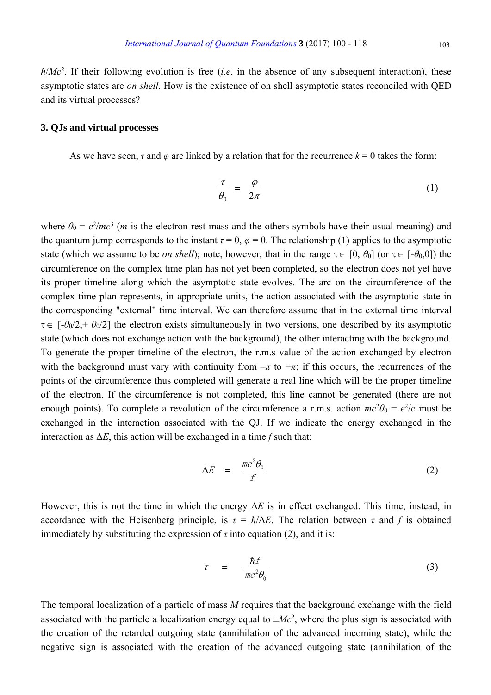$\hbar/Mc^2$ . If their following evolution is free (*i.e.* in the absence of any subsequent interaction), these asymptotic states are *on shell*. How is the existence of on shell asymptotic states reconciled with QED and its virtual processes?

#### **3. QJs and virtual processes**

As we have seen,  $\tau$  and  $\varphi$  are linked by a relation that for the recurrence  $k = 0$  takes the form:

$$
\frac{\tau}{\theta_0} = \frac{\varphi}{2\pi} \tag{1}
$$

where  $\theta_0 = e^2/mc^3$  (*m* is the electron rest mass and the others symbols have their usual meaning) and the quantum jump corresponds to the instant  $\tau = 0$ ,  $\varphi = 0$ . The relationship (1) applies to the asymptotic state (which we assume to be *on shell*); note, however, that in the range  $\tau \in [0, \theta_0]$  (or  $\tau \in [-\theta_0, 0]$ ) the circumference on the complex time plan has not yet been completed, so the electron does not yet have its proper timeline along which the asymptotic state evolves. The arc on the circumference of the complex time plan represents, in appropriate units, the action associated with the asymptotic state in the corresponding "external" time interval. We can therefore assume that in the external time interval τ∈ [-*θ*0/2,+ *θ*0/2] the electron exists simultaneously in two versions, one described by its asymptotic state (which does not exchange action with the background), the other interacting with the background. To generate the proper timeline of the electron, the r.m.s value of the action exchanged by electron with the background must vary with continuity from  $-\pi$  to  $+\pi$ ; if this occurs, the recurrences of the points of the circumference thus completed will generate a real line which will be the proper timeline of the electron. If the circumference is not completed, this line cannot be generated (there are not enough points). To complete a revolution of the circumference a r.m.s. action  $mc^2\theta_0 = e^2/c$  must be exchanged in the interaction associated with the QJ. If we indicate the energy exchanged in the interaction as  $\Delta E$ , this action will be exchanged in a time *f* such that:

$$
\Delta E = \frac{mc^2 \theta_0}{f} \tag{2}
$$

However, this is not the time in which the energy Δ*E* is in effect exchanged. This time, instead, in accordance with the Heisenberg principle, is  $\tau = \hbar/\Delta E$ . The relation between  $\tau$  and  $f$  is obtained immediately by substituting the expression of  $\tau$  into equation (2), and it is:

$$
\tau = \frac{\hbar f}{mc^2 \theta_0} \tag{3}
$$

The temporal localization of a particle of mass *M* requires that the background exchange with the field associated with the particle a localization energy equal to  $\pm Mc^2$ , where the plus sign is associated with the creation of the retarded outgoing state (annihilation of the advanced incoming state), while the negative sign is associated with the creation of the advanced outgoing state (annihilation of the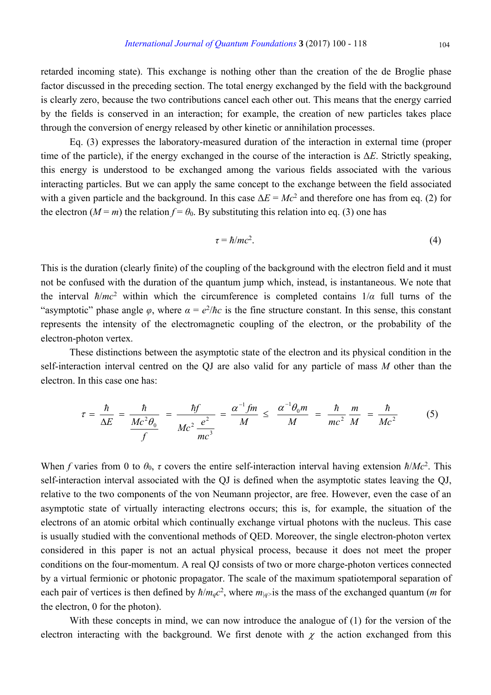retarded incoming state). This exchange is nothing other than the creation of the de Broglie phase factor discussed in the preceding section. The total energy exchanged by the field with the background is clearly zero, because the two contributions cancel each other out. This means that the energy carried by the fields is conserved in an interaction; for example, the creation of new particles takes place through the conversion of energy released by other kinetic or annihilation processes.

Eq. (3) expresses the laboratory-measured duration of the interaction in external time (proper time of the particle), if the energy exchanged in the course of the interaction is Δ*E*. Strictly speaking, this energy is understood to be exchanged among the various fields associated with the various interacting particles. But we can apply the same concept to the exchange between the field associated with a given particle and the background. In this case  $\Delta E = Mc^2$  and therefore one has from eq. (2) for the electron  $(M = m)$  the relation  $f = \theta_0$ . By substituting this relation into eq. (3) one has

$$
\tau = \hbar/mc^2. \tag{4}
$$

This is the duration (clearly finite) of the coupling of the background with the electron field and it must not be confused with the duration of the quantum jump which, instead, is instantaneous. We note that the interval  $\hbar/mc^2$  within which the circumference is completed contains  $1/a$  full turns of the "asymptotic" phase angle  $\varphi$ , where  $\alpha = e^2/\hbar c$  is the fine structure constant. In this sense, this constant represents the intensity of the electromagnetic coupling of the electron, or the probability of the electron-photon vertex.

These distinctions between the asymptotic state of the electron and its physical condition in the self-interaction interval centred on the QJ are also valid for any particle of mass *M* other than the electron. In this case one has:

$$
\tau = \frac{\hbar}{\Delta E} = \frac{\hbar}{\frac{Mc^2 \theta_0}{f}} = \frac{\hbar f}{Mc^2 \frac{e^2}{mc^3}} = \frac{\alpha^{-1} f m}{M} \leq \frac{\alpha^{-1} \theta_0 m}{M} = \frac{\hbar}{mc^2} \frac{m}{M} = \frac{\hbar}{Mc^2}
$$
(5)

When *f* varies from 0 to  $\theta_0$ , *τ* covers the entire self-interaction interval having extension  $\hbar/Mc^2$ . This self-interaction interval associated with the QJ is defined when the asymptotic states leaving the QJ, relative to the two components of the von Neumann projector, are free. However, even the case of an asymptotic state of virtually interacting electrons occurs; this is, for example, the situation of the electrons of an atomic orbital which continually exchange virtual photons with the nucleus. This case is usually studied with the conventional methods of QED. Moreover, the single electron-photon vertex considered in this paper is not an actual physical process, because it does not meet the proper conditions on the four-momentum. A real QJ consists of two or more charge-photon vertices connected by a virtual fermionic or photonic propagator. The scale of the maximum spatiotemporal separation of each pair of vertices is then defined by  $\hbar/m_qc^2$ , where  $m_{|q>}$  is the mass of the exchanged quantum (*m* for the electron, 0 for the photon).

With these concepts in mind, we can now introduce the analogue of (1) for the version of the electron interacting with the background. We first denote with  $\chi$  the action exchanged from this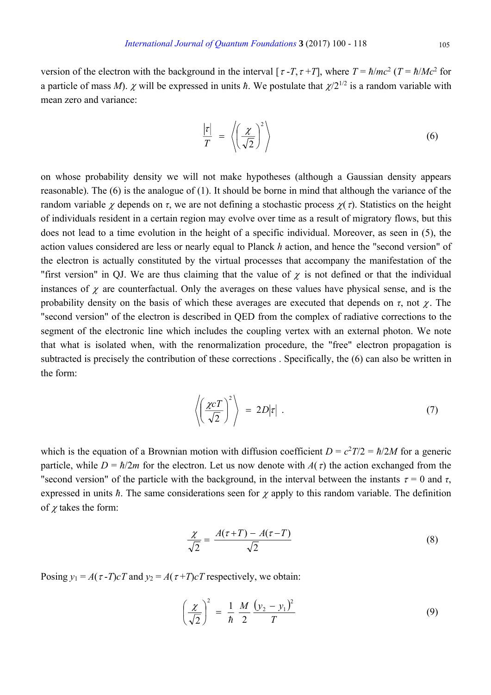version of the electron with the background in the interval  $\lceil \tau - T, \tau + T \rceil$ , where  $T = \hbar/mc^2$  ( $T = \hbar/Mc^2$  for a particle of mass *M*).  $\chi$  will be expressed in units  $\hbar$ . We postulate that  $\chi/2^{1/2}$  is a random variable with mean zero and variance:

$$
\frac{|\tau|}{T} = \left\langle \left(\frac{\chi}{\sqrt{2}}\right)^2 \right\rangle \tag{6}
$$

on whose probability density we will not make hypotheses (although a Gaussian density appears reasonable). The (6) is the analogue of (1). It should be borne in mind that although the variance of the random variable  $\chi$  depends on  $\tau$ , we are not defining a stochastic process  $\chi(\tau)$ . Statistics on the height of individuals resident in a certain region may evolve over time as a result of migratory flows, but this does not lead to a time evolution in the height of a specific individual. Moreover, as seen in (5), the action values considered are less or nearly equal to Planck *h* action, and hence the "second version" of the electron is actually constituted by the virtual processes that accompany the manifestation of the "first version" in QJ. We are thus claiming that the value of  $\chi$  is not defined or that the individual instances of  $\chi$  are counterfactual. Only the averages on these values have physical sense, and is the probability density on the basis of which these averages are executed that depends on  $\tau$ , not  $\gamma$ . The "second version" of the electron is described in QED from the complex of radiative corrections to the segment of the electronic line which includes the coupling vertex with an external photon. We note that what is isolated when, with the renormalization procedure, the "free" electron propagation is subtracted is precisely the contribution of these corrections . Specifically, the (6) can also be written in the form:

$$
\left\langle \left(\frac{\chi c T}{\sqrt{2}}\right)^2 \right\rangle = 2D|\tau| \ . \tag{7}
$$

which is the equation of a Brownian motion with diffusion coefficient  $D = c^2 T/2 = \hbar/2M$  for a generic particle, while  $D = \hbar/2m$  for the electron. Let us now denote with  $A(\tau)$  the action exchanged from the "second version" of the particle with the background, in the interval between the instants  $\tau = 0$  and  $\tau$ , expressed in units  $\hbar$ . The same considerations seen for  $\chi$  apply to this random variable. The definition of  $\chi$  takes the form:

$$
\frac{\chi}{\sqrt{2}} = \frac{A(\tau + T) - A(\tau - T)}{\sqrt{2}}\tag{8}
$$

Posing  $y_1 = A(\tau - T)cT$  and  $y_2 = A(\tau + T)cT$  respectively, we obtain:

$$
\left(\frac{\chi}{\sqrt{2}}\right)^2 = \frac{1}{\hbar} \frac{M}{2} \frac{(y_2 - y_1)^2}{T}
$$
\n(9)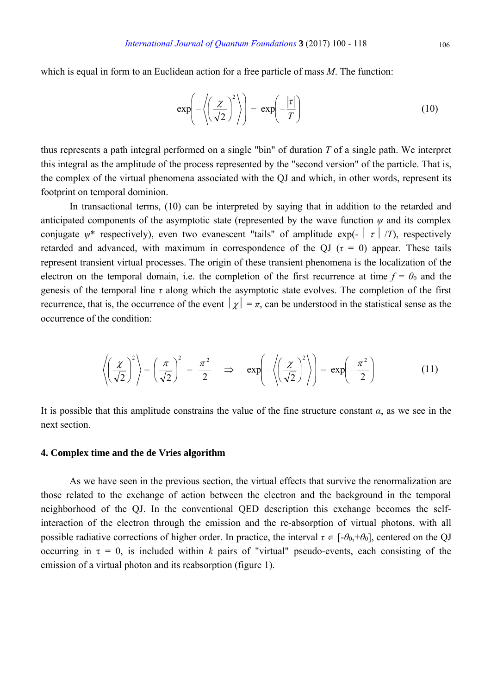which is equal in form to an Euclidean action for a free particle of mass *M*. The function:

$$
\exp\left(-\left\langle \left(\frac{\chi}{\sqrt{2}}\right)^2 \right\rangle\right) = \exp\left(-\frac{|\tau|}{T}\right) \tag{10}
$$

thus represents a path integral performed on a single "bin" of duration *T* of a single path. We interpret this integral as the amplitude of the process represented by the "second version" of the particle. That is, the complex of the virtual phenomena associated with the QJ and which, in other words, represent its footprint on temporal dominion.

In transactional terms, (10) can be interpreted by saying that in addition to the retarded and anticipated components of the asymptotic state (represented by the wave function  $\psi$  and its complex conjugate  $\psi^*$  respectively), even two evanescent "tails" of amplitude exp( $\vert \tau \vert /T$ ), respectively retarded and advanced, with maximum in correspondence of the QJ ( $\tau = 0$ ) appear. These tails represent transient virtual processes. The origin of these transient phenomena is the localization of the electron on the temporal domain, i.e. the completion of the first recurrence at time  $f = \theta_0$  and the genesis of the temporal line  $\tau$  along which the asymptotic state evolves. The completion of the first recurrence, that is, the occurrence of the event  $|\chi| = \pi$ , can be understood in the statistical sense as the occurrence of the condition:

$$
\left\langle \left(\frac{\chi}{\sqrt{2}}\right)^2 \right\rangle = \left(\frac{\pi}{\sqrt{2}}\right)^2 = \frac{\pi^2}{2} \implies \exp\left(-\left\langle \left(\frac{\chi}{\sqrt{2}}\right)^2 \right\rangle\right) = \exp\left(-\frac{\pi^2}{2}\right) \tag{11}
$$

It is possible that this amplitude constrains the value of the fine structure constant  $\alpha$ , as we see in the next section.

#### **4. Complex time and the de Vries algorithm**

As we have seen in the previous section, the virtual effects that survive the renormalization are those related to the exchange of action between the electron and the background in the temporal neighborhood of the QJ. In the conventional QED description this exchange becomes the selfinteraction of the electron through the emission and the re-absorption of virtual photons, with all possible radiative corrections of higher order. In practice, the interval  $\tau \in [-\theta_0, +\theta_0]$ , centered on the QJ occurring in  $\tau = 0$ , is included within *k* pairs of "virtual" pseudo-events, each consisting of the emission of a virtual photon and its reabsorption (figure 1).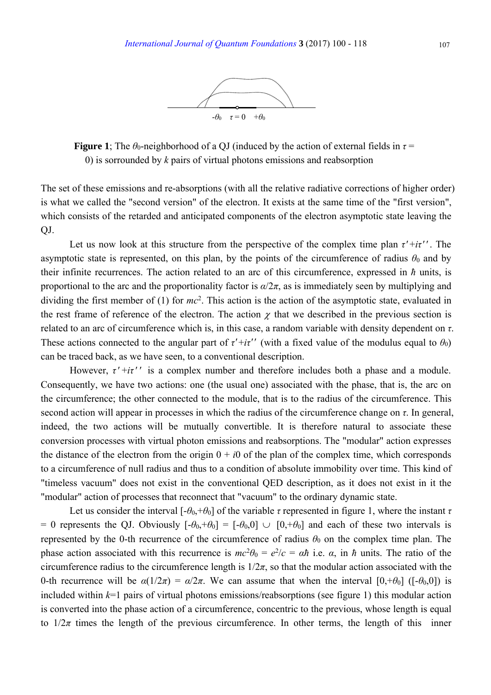

**Figure 1**; The  $\theta_0$ -neighborhood of a QJ (induced by the action of external fields in  $\tau$  = 0) is sorrounded by *k* pairs of virtual photons emissions and reabsorption

The set of these emissions and re-absorptions (with all the relative radiative corrections of higher order) is what we called the "second version" of the electron. It exists at the same time of the "first version", which consists of the retarded and anticipated components of the electron asymptotic state leaving the QJ.

Let us now look at this structure from the perspective of the complex time plan  $\tau'$ +*i* $\tau'$ <sup>*'*</sup>. The asymptotic state is represented, on this plan, by the points of the circumference of radius  $\theta_0$  and by their infinite recurrences. The action related to an arc of this circumference, expressed in *ħ* units, is proportional to the arc and the proportionality factor is  $\alpha/2\pi$ , as is immediately seen by multiplying and dividing the first member of (1) for *mc*<sup>2</sup> . This action is the action of the asymptotic state, evaluated in the rest frame of reference of the electron. The action  $\chi$  that we described in the previous section is related to an arc of circumference which is, in this case, a random variable with density dependent on *τ*. These actions connected to the angular part of  $\tau' + i\tau'$  (with a fixed value of the modulus equal to  $\theta_0$ ) can be traced back, as we have seen, to a conventional description.

However, *τ*′ +*iτ*′ ′ is a complex number and therefore includes both a phase and a module. Consequently, we have two actions: one (the usual one) associated with the phase, that is, the arc on the circumference; the other connected to the module, that is to the radius of the circumference. This second action will appear in processes in which the radius of the circumference change on *τ*. In general, indeed, the two actions will be mutually convertible. It is therefore natural to associate these conversion processes with virtual photon emissions and reabsorptions. The "modular" action expresses the distance of the electron from the origin  $0 + i0$  of the plan of the complex time, which corresponds to a circumference of null radius and thus to a condition of absolute immobility over time. This kind of "timeless vacuum" does not exist in the conventional QED description, as it does not exist in it the "modular" action of processes that reconnect that "vacuum" to the ordinary dynamic state.

Let us consider the interval  $[-\theta_0, +\theta_0]$  of the variable *τ* represented in figure 1, where the instant *τ* = 0 represents the QJ. Obviously  $[-\theta_0, +\theta_0] = [-\theta_0, 0] \cup [0, +\theta_0]$  and each of these two intervals is represented by the 0-th recurrence of the circumference of radius  $\theta_0$  on the complex time plan. The phase action associated with this recurrence is  $mc^2\theta_0 = e^2/c = a\hbar$  i.e.  $\alpha$ , in  $\hbar$  units. The ratio of the circumference radius to the circumference length is  $1/2\pi$ , so that the modular action associated with the 0-th recurrence will be  $\alpha(1/2\pi) = \alpha/2\pi$ . We can assume that when the interval  $[0, +\theta_0]$  ( $[-\theta_0, 0]$ ) is included within  $k=1$  pairs of virtual photons emissions/reabsorptions (see figure 1) this modular action is converted into the phase action of a circumference, concentric to the previous, whose length is equal to  $1/2\pi$  times the length of the previous circumference. In other terms, the length of this inner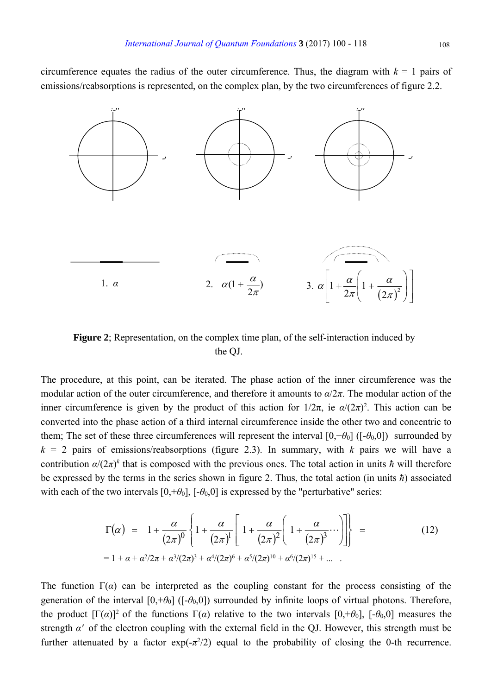circumference equates the radius of the outer circumference. Thus, the diagram with  $k = 1$  pairs of emissions/reabsorptions is represented, on the complex plan, by the two circumferences of figure 2.2.



**Figure 2**; Representation, on the complex time plan, of the self-interaction induced by the QJ.

The procedure, at this point, can be iterated. The phase action of the inner circumference was the modular action of the outer circumference, and therefore it amounts to *α*/2*π*. The modular action of the inner circumference is given by the product of this action for  $1/2\pi$ , ie  $\alpha/(2\pi)^2$ . This action can be converted into the phase action of a third internal circumference inside the other two and concentric to them; The set of these three circumferences will represent the interval  $[0, +\theta_0]$  ( $[-\theta_0, 0]$ ) surrounded by  $k = 2$  pairs of emissions/reabsorptions (figure 2.3). In summary, with *k* pairs we will have a contribution  $\alpha/(2\pi)^k$  that is composed with the previous ones. The total action in units  $\hbar$  will therefore be expressed by the terms in the series shown in figure 2. Thus, the total action (in units *ħ*) associated with each of the two intervals  $[0, +\theta_0]$ ,  $[-\theta_0, 0]$  is expressed by the "perturbative" series:

$$
\Gamma(\alpha) = 1 + \frac{\alpha}{(2\pi)^0} \left\{ 1 + \frac{\alpha}{(2\pi)^1} \left[ 1 + \frac{\alpha}{(2\pi)^2} \left( 1 + \frac{\alpha}{(2\pi)^3} \cdots \right) \right] \right\} =
$$
\n(12)\n  
\n= 1 + \alpha + \alpha^2/2\pi + \alpha^3/(2\pi)^3 + \alpha^4/(2\pi)^6 + \alpha^5/(2\pi)^{10} + \alpha^6/(2\pi)^{15} + \dots

The function  $\Gamma(\alpha)$  can be interpreted as the coupling constant for the process consisting of the generation of the interval  $[0, +\theta_0]$  ( $[-\theta_0, 0]$ ) surrounded by infinite loops of virtual photons. Therefore, the product  $[\Gamma(\alpha)]^2$  of the functions  $\Gamma(\alpha)$  relative to the two intervals  $[0, +\theta_0]$ ,  $[-\theta_0, 0]$  measures the strength *α*′ of the electron coupling with the external field in the QJ. However, this strength must be further attenuated by a factor  $exp(-\pi^2/2)$  equal to the probability of closing the 0-th recurrence.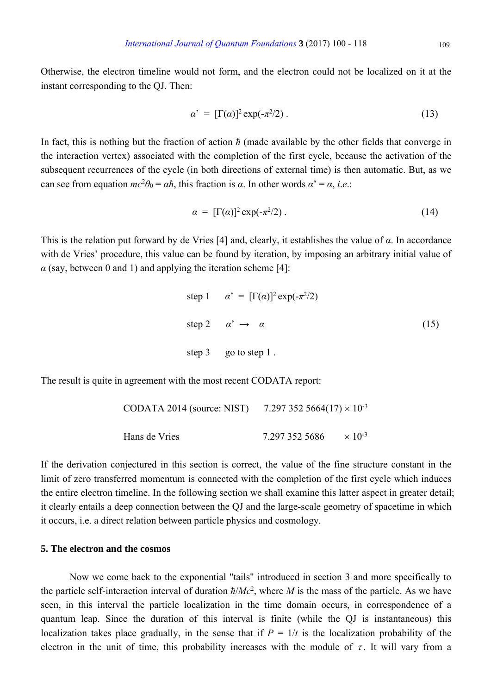Otherwise, the electron timeline would not form, and the electron could not be localized on it at the instant corresponding to the QJ. Then:

$$
\alpha' = [\Gamma(\alpha)]^2 \exp(-\pi^2/2) \tag{13}
$$

In fact, this is nothing but the fraction of action *ħ* (made available by the other fields that converge in the interaction vertex) associated with the completion of the first cycle, because the activation of the subsequent recurrences of the cycle (in both directions of external time) is then automatic. But, as we can see from equation  $mc^2\theta_0 = \alpha\hbar$ , this fraction is  $\alpha$ . In other words  $\alpha' = \alpha$ , *i.e.*:

$$
\alpha = [\Gamma(\alpha)]^2 \exp(-\pi^2/2) \tag{14}
$$

This is the relation put forward by de Vries [4] and, clearly, it establishes the value of *α*. In accordance with de Vries' procedure, this value can be found by iteration, by imposing an arbitrary initial value of  $\alpha$  (say, between 0 and 1) and applying the iteration scheme [4]:

step 1 
$$
\alpha' = [\Gamma(\alpha)]^2 \exp(-\pi^2/2)
$$
  
\nstep 2  $\alpha' \rightarrow \alpha$  (15)  
\nstep 3 go to step 1.

The result is quite in agreement with the most recent CODATA report:

| CODATA 2014 (source: NIST) | 7.297 352 5664(17) $\times$ 10 <sup>-3</sup> |                           |  |
|----------------------------|----------------------------------------------|---------------------------|--|
| Hans de Vries              | 7.297 352 5686                               | $\times$ 10 <sup>-3</sup> |  |

If the derivation conjectured in this section is correct, the value of the fine structure constant in the limit of zero transferred momentum is connected with the completion of the first cycle which induces the entire electron timeline. In the following section we shall examine this latter aspect in greater detail; it clearly entails a deep connection between the QJ and the large-scale geometry of spacetime in which it occurs, i.e. a direct relation between particle physics and cosmology.

# **5. The electron and the cosmos**

Now we come back to the exponential "tails" introduced in section 3 and more specifically to the particle self-interaction interval of duration *ħ*/*Mc*<sup>2</sup> , where *M* is the mass of the particle. As we have seen, in this interval the particle localization in the time domain occurs, in correspondence of a quantum leap. Since the duration of this interval is finite (while the QJ is instantaneous) this localization takes place gradually, in the sense that if  $P = 1/t$  is the localization probability of the electron in the unit of time, this probability increases with the module of  $\tau$ . It will vary from a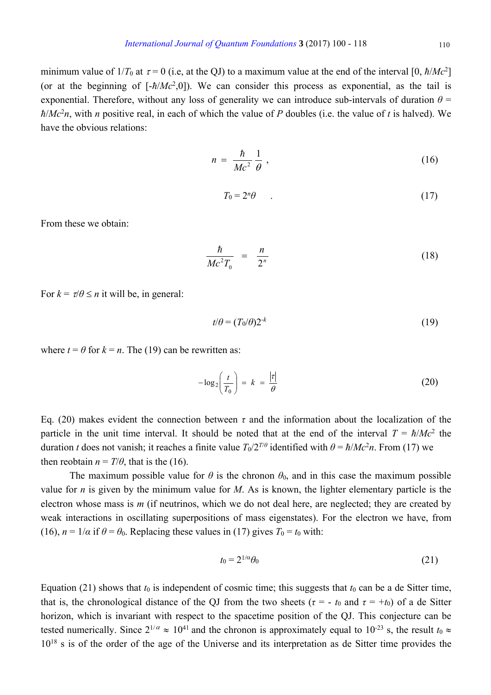minimum value of  $1/T_0$  at  $\tau = 0$  (i.e, at the QJ) to a maximum value at the end of the interval [0,  $\hbar/Mc^2$ ] (or at the beginning of  $[-\hbar/Mc^2,0]$ ). We can consider this process as exponential, as the tail is exponential. Therefore, without any loss of generality we can introduce sub-intervals of duration  $\theta$  = *ħ*/*Mc*<sup>2</sup> *n*, with *n* positive real, in each of which the value of *P* doubles (i.e. the value of *t* is halved). We have the obvious relations:

$$
n = \frac{\hbar}{Mc^2} \frac{1}{\theta} \,, \tag{16}
$$

$$
T_0 = 2^n \theta \tag{17}
$$

From these we obtain:

$$
\frac{\hbar}{Mc^2T_0} = \frac{n}{2^n} \tag{18}
$$

For  $k = \tau/\theta \le n$  it will be, in general:

$$
t/\theta = (T_0/\theta)2^{-k} \tag{19}
$$

where  $t = \theta$  for  $k = n$ . The (19) can be rewritten as:

$$
-\log_2\left(\frac{t}{T_0}\right) = k = \frac{|\tau|}{\theta} \tag{20}
$$

Eq. (20) makes evident the connection between *τ* and the information about the localization of the particle in the unit time interval. It should be noted that at the end of the interval  $T = \hbar/Mc^2$  the duration *t* does not vanish; it reaches a finite value  $T_0/2^{T/\theta}$  identified with  $\theta = \hbar / Mc^2 n$ . From (17) we then reobtain  $n = T/\theta$ , that is the (16).

The maximum possible value for  $\theta$  is the chronon  $\theta_0$ , and in this case the maximum possible value for *n* is given by the minimum value for *M*. As is known, the lighter elementary particle is the electron whose mass is *m* (if neutrinos, which we do not deal here, are neglected; they are created by weak interactions in oscillating superpositions of mass eigenstates). For the electron we have, from (16),  $n = 1/\alpha$  if  $\theta = \theta_0$ . Replacing these values in (17) gives  $T_0 = t_0$  with:

$$
t_0 = 2^{1/\alpha} \theta_0 \tag{21}
$$

Equation (21) shows that  $t_0$  is independent of cosmic time; this suggests that  $t_0$  can be a de Sitter time, that is, the chronological distance of the QJ from the two sheets ( $\tau = -t_0$  and  $\tau = +t_0$ ) of a de Sitter horizon, which is invariant with respect to the spacetime position of the QJ. This conjecture can be tested numerically. Since  $2^{1/\alpha} \approx 10^{41}$  and the chronon is approximately equal to  $10^{-23}$  s, the result  $t_0 \approx$  $10^{18}$  s is of the order of the age of the Universe and its interpretation as de Sitter time provides the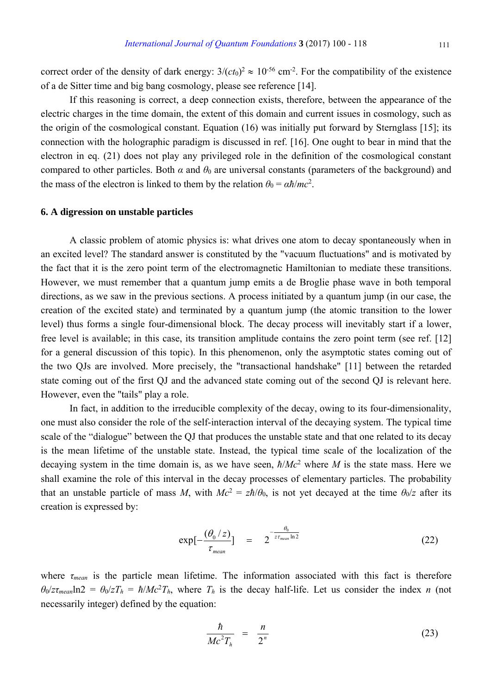correct order of the density of dark energy:  $3/(ct_0)^2 \approx 10^{-56}$  cm<sup>-2</sup>. For the compatibility of the existence of a de Sitter time and big bang cosmology, please see reference [14].

If this reasoning is correct, a deep connection exists, therefore, between the appearance of the electric charges in the time domain, the extent of this domain and current issues in cosmology, such as the origin of the cosmological constant. Equation (16) was initially put forward by Sternglass [15]; its connection with the holographic paradigm is discussed in ref. [16]. One ought to bear in mind that the electron in eq. (21) does not play any privileged role in the definition of the cosmological constant compared to other particles. Both  $\alpha$  and  $\theta_0$  are universal constants (parameters of the background) and the mass of the electron is linked to them by the relation  $\theta_0 = \alpha \hbar/mc^2$ .

## **6. A digression on unstable particles**

A classic problem of atomic physics is: what drives one atom to decay spontaneously when in an excited level? The standard answer is constituted by the "vacuum fluctuations" and is motivated by the fact that it is the zero point term of the electromagnetic Hamiltonian to mediate these transitions. However, we must remember that a quantum jump emits a de Broglie phase wave in both temporal directions, as we saw in the previous sections. A process initiated by a quantum jump (in our case, the creation of the excited state) and terminated by a quantum jump (the atomic transition to the lower level) thus forms a single four-dimensional block. The decay process will inevitably start if a lower, free level is available; in this case, its transition amplitude contains the zero point term (see ref. [12] for a general discussion of this topic). In this phenomenon, only the asymptotic states coming out of the two QJs are involved. More precisely, the "transactional handshake" [11] between the retarded state coming out of the first QJ and the advanced state coming out of the second QJ is relevant here. However, even the "tails" play a role.

In fact, in addition to the irreducible complexity of the decay, owing to its four-dimensionality, one must also consider the role of the self-interaction interval of the decaying system. The typical time scale of the "dialogue" between the QJ that produces the unstable state and that one related to its decay is the mean lifetime of the unstable state. Instead, the typical time scale of the localization of the decaying system in the time domain is, as we have seen, *ħ*/*Mc*<sup>2</sup> where *M* is the state mass. Here we shall examine the role of this interval in the decay processes of elementary particles. The probability that an unstable particle of mass *M*, with  $Mc^2 = z\hbar/\theta_0$ , is not yet decayed at the time  $\theta_0/z$  after its creation is expressed by:

$$
\exp[-\frac{(\theta_0/z)}{\tau_{mean}}] = 2^{-\frac{\theta_0}{z\tau_{mean}\ln 2}}
$$
 (22)

where  $\tau_{mean}$  is the particle mean lifetime. The information associated with this fact is therefore  $\theta_0$ /*zt<sub>mean</sub>* $\ln 2 = \theta_0 / zT_h = \hbar / Mc^2T_h$ , where  $T_h$  is the decay half-life. Let us consider the index *n* (not necessarily integer) defined by the equation:

$$
\frac{\hbar}{Mc^2T_h} = \frac{n}{2^n} \tag{23}
$$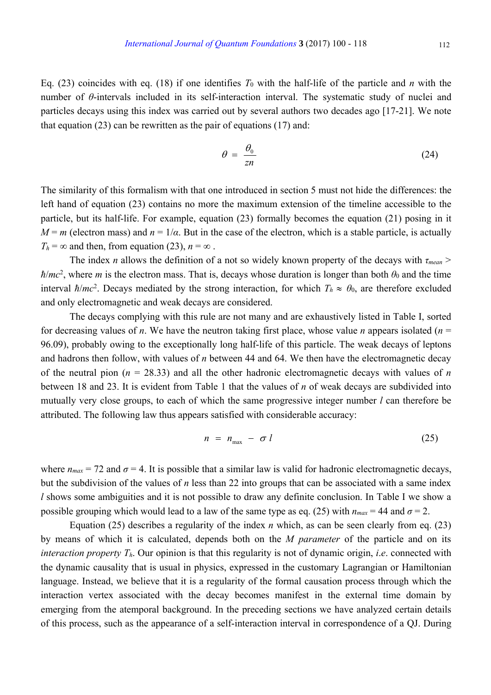Eq. (23) coincides with eq. (18) if one identifies  $T_0$  with the half-life of the particle and  $n$  with the number of *θ*-intervals included in its self-interaction interval. The systematic study of nuclei and particles decays using this index was carried out by several authors two decades ago [17-21]. We note that equation  $(23)$  can be rewritten as the pair of equations  $(17)$  and:

$$
\theta = \frac{\theta_0}{z n} \tag{24}
$$

The similarity of this formalism with that one introduced in section 5 must not hide the differences: the left hand of equation (23) contains no more the maximum extension of the timeline accessible to the particle, but its half-life. For example, equation (23) formally becomes the equation (21) posing in it  $M = m$  (electron mass) and  $n = 1/\alpha$ . But in the case of the electron, which is a stable particle, is actually  $T_h = \infty$  and then, from equation (23),  $n = \infty$ .

The index *n* allows the definition of a not so widely known property of the decays with *τmean* >  $\hbar/mc^2$ , where *m* is the electron mass. That is, decays whose duration is longer than both  $\theta_0$  and the time interval  $\hbar/mc^2$ . Decays mediated by the strong interaction, for which  $T_h \approx \theta_0$ , are therefore excluded and only electromagnetic and weak decays are considered.

The decays complying with this rule are not many and are exhaustively listed in Table I, sorted for decreasing values of *n*. We have the neutron taking first place, whose value *n* appears isolated ( $n =$ 96.09), probably owing to the exceptionally long half-life of this particle. The weak decays of leptons and hadrons then follow, with values of *n* between 44 and 64. We then have the electromagnetic decay of the neutral pion ( $n = 28.33$ ) and all the other hadronic electromagnetic decays with values of  $n$ between 18 and 23. It is evident from Table 1 that the values of *n* of weak decays are subdivided into mutually very close groups, to each of which the same progressive integer number *l* can therefore be attributed. The following law thus appears satisfied with considerable accuracy:

$$
n = n_{\text{max}} - \sigma l \tag{25}
$$

where  $n_{max} = 72$  and  $\sigma = 4$ . It is possible that a similar law is valid for hadronic electromagnetic decays, but the subdivision of the values of *n* less than 22 into groups that can be associated with a same index *l* shows some ambiguities and it is not possible to draw any definite conclusion. In Table I we show a possible grouping which would lead to a law of the same type as eq. (25) with  $n_{max} = 44$  and  $\sigma = 2$ .

Equation (25) describes a regularity of the index *n* which, as can be seen clearly from eq. (23) by means of which it is calculated, depends both on the *M parameter* of the particle and on its *interaction property Th*. Our opinion is that this regularity is not of dynamic origin, *i*.*e*. connected with the dynamic causality that is usual in physics, expressed in the customary Lagrangian or Hamiltonian language. Instead, we believe that it is a regularity of the formal causation process through which the interaction vertex associated with the decay becomes manifest in the external time domain by emerging from the atemporal background. In the preceding sections we have analyzed certain details of this process, such as the appearance of a self-interaction interval in correspondence of a QJ. During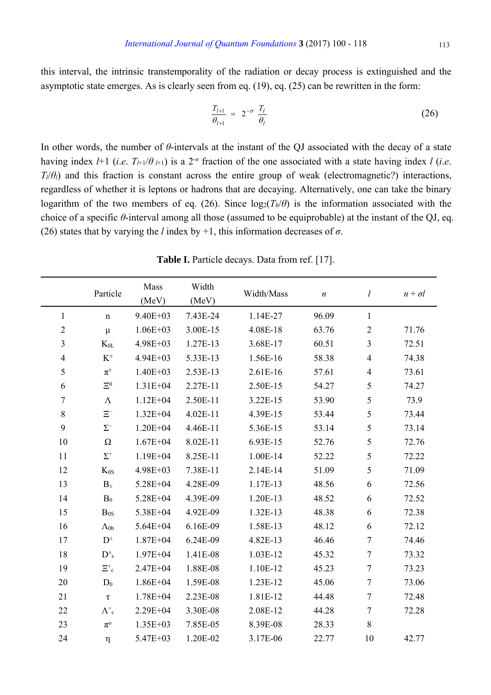this interval, the intrinsic transtemporality of the radiation or decay process is extinguished and the asymptotic state emerges. As is clearly seen from eq. (19), eq. (25) can be rewritten in the form:

$$
\frac{T_{l+1}}{\theta_{l+1}} = 2^{-\sigma} \frac{T_l}{\theta_l} \tag{26}
$$

In other words, the number of *θ*-intervals at the instant of the QJ associated with the decay of a state having index  $l+1$  (*i.e.*  $T_{l+1}/\theta_{l+1}$ ) is a  $2^{-\sigma}$  fraction of the one associated with a state having index *l* (*i.e.*)  $T_l$ / $\theta_l$ ) and this fraction is constant across the entire group of weak (electromagnetic?) interactions, regardless of whether it is leptons or hadrons that are decaying. Alternatively, one can take the binary logarithm of the two members of eq. (26). Since  $log_2(T_h/\theta)$  is the information associated with the choice of a specific *θ*-interval among all those (assumed to be equiprobable) at the instant of the QJ, eq. (26) states that by varying the *l* index by +1, this information decreases of  $\sigma$ .

|                | Particle                        | Mass<br>(MeV) | Width<br>(MeV) | Width/Mass | $\boldsymbol{n}$ | l                | $n + \sigma l$ |
|----------------|---------------------------------|---------------|----------------|------------|------------------|------------------|----------------|
| $\mathbf{1}$   | $\mathbf n$                     | $9.40E + 03$  | 7.43E-24       | 1.14E-27   | 96.09            | $\mathbf{1}$     |                |
| $\overline{2}$ | $\mu$                           | $1.06E + 03$  | 3.00E-15       | 4.08E-18   | 63.76            | $\sqrt{2}$       | 71.76          |
| $\mathfrak{Z}$ | $K_{0L}$                        | 4.98E+03      | 1.27E-13       | 3.68E-17   | 60.51            | $\mathfrak{Z}$   | 72.51          |
| $\overline{4}$ | $K^{\scriptscriptstyle{\pm}}$   | $4.94E + 03$  | 5.33E-13       | 1.56E-16   | 58.38            | $\overline{4}$   | 74.38          |
| 5              | $\pi^{\scriptscriptstyle{\pm}}$ | $1.40E + 03$  | 2.53E-13       | 2.61E-16   | 57.61            | $\overline{4}$   | 73.61          |
| 6              | $\Xi^0$                         | $1.31E + 04$  | 2.27E-11       | 2.50E-15   | 54.27            | $\mathfrak s$    | 74.27          |
| 7              | $\Lambda$                       | $1.12E + 04$  | 2.50E-11       | 3.22E-15   | 53.90            | 5                | 73.9           |
| 8              | $\Xi^-$                         | $1.32E + 04$  | 4.02E-11       | 4.39E-15   | 53.44            | 5                | 73.44          |
| 9              | $\Sigma^-$                      | $1.20E + 04$  | 4.46E-11       | 5.36E-15   | 53.14            | 5                | 73.14          |
| 10             | $\Omega$                        | $1.67E + 04$  | 8.02E-11       | 6.93E-15   | 52.76            | 5                | 72.76          |
| 11             | $\Sigma^+$                      | $1.19E + 04$  | 8.25E-11       | 1.00E-14   | 52.22            | 5                | 72.22          |
| 12             | $K_{0S}$                        | $4.98E + 03$  | 7.38E-11       | 2.14E-14   | 51.09            | 5                | 71.09          |
| 13             | $B_{\pm}$                       | 5.28E+04      | 4.28E-09       | 1.17E-13   | 48.56            | 6                | 72.56          |
| 14             | $B_0$                           | 5.28E+04      | 4.39E-09       | 1.20E-13   | 48.52            | 6                | 72.52          |
| 15             | Bos                             | 5.38E+04      | 4.92E-09       | 1.32E-13   | 48.38            | 6                | 72.38          |
| 16             | $\Lambda_{0b}$                  | $5.64E + 04$  | 6.16E-09       | 1.58E-13   | 48.12            | 6                | 72.12          |
| 17             | $\mathbf{D}^{\pm}$              | $1.87E + 04$  | 6.24E-09       | 4.82E-13   | 46.46            | $\boldsymbol{7}$ | 74.46          |
| 18             | $D^{\pm}{}_{s}$                 | $1.97E + 04$  | 1.41E-08       | 1.03E-12   | 45.32            | $\overline{7}$   | 73.32          |
| 19             | $\Xi^+{}_{\mathrm{c}}$          | $2.47E + 04$  | 1.88E-08       | 1.10E-12   | 45.23            | $\boldsymbol{7}$ | 73.23          |
| 20             | $D_0$                           | $1.86E + 04$  | 1.59E-08       | 1.23E-12   | 45.06            | $\overline{7}$   | 73.06          |
| 21             | $\tau$                          | $1.78E + 04$  | 2.23E-08       | 1.81E-12   | 44.48            | $\boldsymbol{7}$ | 72.48          |
| 22             | $\Lambda^{\text{+}}$ c          | 2.29E+04      | 3.30E-08       | 2.08E-12   | 44.28            | $\boldsymbol{7}$ | 72.28          |
| 23             | $\pi^{\rm o}$                   | $1.35E+03$    | 7.85E-05       | 8.39E-08   | 28.33            | $8\,$            |                |
| 24             | η                               | $5.47E + 03$  | 1.20E-02       | 3.17E-06   | 22.77            | 10               | 42.77          |

**Table I.** Particle decays. Data from ref. [17].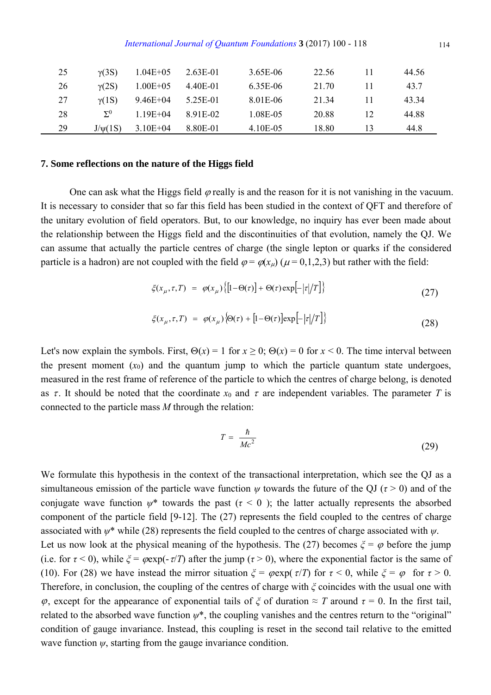| 25 | $\gamma$ (3S) | $1.04E + 05$  | 2.63E-01  | 3.65E-06 | 22.56 | 11 | 44.56 |
|----|---------------|---------------|-----------|----------|-------|----|-------|
| 26 | $\gamma(2S)$  | $1.00E + 0.5$ | 4.40E-01  | 6.35E-06 | 21.70 | 11 | 43.7  |
| 27 | $\gamma(1S)$  | 9.46E+04      | 5.25E-01  | 8.01E-06 | 21 34 | 11 | 43.34 |
| 28 | $\Sigma^0$    | $1.19E + 04$  | 8 91 E-02 | 1.08E-05 | 20.88 | 12 | 44.88 |
| 29 | J/w(1S)       | $3.10E + 04$  | 8 80E-01  | 4.10E-05 | 18.80 | 13 | 44.8  |

#### **7. Some reflections on the nature of the Higgs field**

One can ask what the Higgs field  $\varphi$  really is and the reason for it is not vanishing in the vacuum. It is necessary to consider that so far this field has been studied in the context of QFT and therefore of the unitary evolution of field operators. But, to our knowledge, no inquiry has ever been made about the relationship between the Higgs field and the discontinuities of that evolution, namely the QJ. We can assume that actually the particle centres of charge (the single lepton or quarks if the considered particle is a hadron) are not coupled with the field  $\varphi = \varphi(x_\mu)$  ( $\mu = 0,1,2,3$ ) but rather with the field:

$$
\xi(x_{\mu}, \tau, T) = \varphi(x_{\mu}) \{ [1 - \Theta(\tau)] + \Theta(\tau) \exp[-|\tau|/T] \}
$$
\n(27)

$$
\xi(x_{\mu}, \tau, T) = \varphi(x_{\mu}) \langle \Theta(\tau) + [1 - \Theta(\tau)] \exp[-|\tau|/T] \rangle \tag{28}
$$

Let's now explain the symbols. First,  $\Theta(x) = 1$  for  $x \ge 0$ ;  $\Theta(x) = 0$  for  $x < 0$ . The time interval between the present moment  $(x_0)$  and the quantum jump to which the particle quantum state undergoes, measured in the rest frame of reference of the particle to which the centres of charge belong, is denoted as  $\tau$ . It should be noted that the coordinate  $x_0$  and  $\tau$  are independent variables. The parameter *T* is connected to the particle mass *M* through the relation:

$$
T = \frac{\hbar}{Mc^2} \tag{29}
$$

We formulate this hypothesis in the context of the transactional interpretation, which see the OJ as a simultaneous emission of the particle wave function  $\psi$  towards the future of the OJ ( $\tau > 0$ ) and of the conjugate wave function  $\psi^*$  towards the past ( $\tau < 0$ ); the latter actually represents the absorbed component of the particle field [9-12]. The (27) represents the field coupled to the centres of charge associated with *ψ*\* while (28) represents the field coupled to the centres of charge associated with *ψ*. Let us now look at the physical meaning of the hypothesis. The (27) becomes  $\xi = \varphi$  before the jump (i.e. for  $\tau$  < 0), while  $\xi$  =  $\varphi$ exp(- $\tau/T$ ) after the jump ( $\tau$  > 0), where the exponential factor is the same of (10). For (28) we have instead the mirror situation  $\zeta = \varphi \exp(\tau/T)$  for  $\tau < 0$ , while  $\zeta = \varphi$  for  $\tau > 0$ . Therefore, in conclusion, the coupling of the centres of charge with *ξ* coincides with the usual one with  $\varphi$ , except for the appearance of exponential tails of  $\zeta$  of duration  $\approx T$  around  $\tau = 0$ . In the first tail, related to the absorbed wave function  $\psi^*$ , the coupling vanishes and the centres return to the "original" condition of gauge invariance. Instead, this coupling is reset in the second tail relative to the emitted wave function *ψ*, starting from the gauge invariance condition.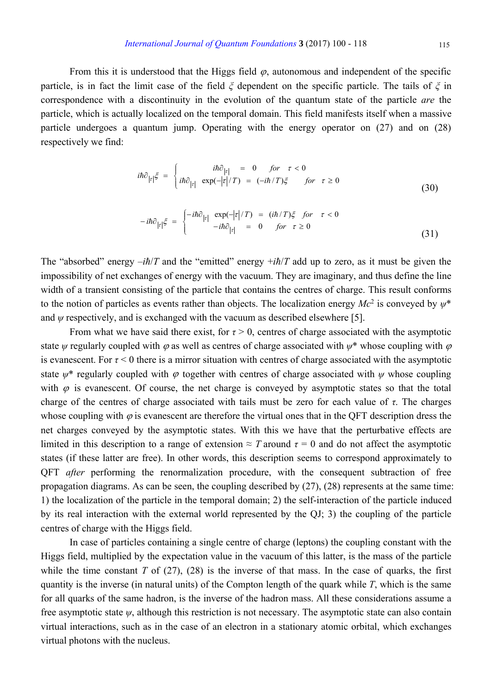From this it is understood that the Higgs field  $\varphi$ , autonomous and independent of the specific particle, is in fact the limit case of the field *ξ* dependent on the specific particle. The tails of *ξ* in correspondence with a discontinuity in the evolution of the quantum state of the particle *are* the particle, which is actually localized on the temporal domain. This field manifests itself when a massive particle undergoes a quantum jump. Operating with the energy operator on (27) and on (28) respectively we find:

$$
i\hbar \partial_{|\tau|} \xi = \begin{cases} i\hbar \partial_{|\tau|} = 0 & \text{for } \tau < 0\\ i\hbar \partial_{|\tau|} \exp(-|\tau|/T) = (-i\hbar/T)\xi & \text{for } \tau \ge 0 \end{cases}
$$
(30)

$$
-i\hbar \partial_{|\tau|} \xi = \begin{cases} -i\hbar \partial_{|\tau|} & \exp(-|\tau|/T) = (i\hbar/T)\xi & \text{for } \tau < 0\\ -i\hbar \partial_{|\tau|} = 0 & \text{for } \tau \ge 0 \end{cases}
$$
(31)

The "absorbed" energy  $-i\hbar/T$  and the "emitted" energy  $+i\hbar/T$  add up to zero, as it must be given the impossibility of net exchanges of energy with the vacuum. They are imaginary, and thus define the line width of a transient consisting of the particle that contains the centres of charge. This result conforms to the notion of particles as events rather than objects. The localization energy *Mc*<sup>2</sup> is conveyed by *ψ*\* and  $\psi$  respectively, and is exchanged with the vacuum as described elsewhere [5].

From what we have said there exist, for  $\tau > 0$ , centres of charge associated with the asymptotic state  $\psi$  regularly coupled with  $\varphi$  as well as centres of charge associated with  $\psi^*$  whose coupling with  $\varphi$ is evanescent. For  $\tau$  < 0 there is a mirror situation with centres of charge associated with the asymptotic state  $\psi^*$  regularly coupled with  $\varphi$  together with centres of charge associated with  $\psi$  whose coupling with  $\varphi$  is evanescent. Of course, the net charge is conveyed by asymptotic states so that the total charge of the centres of charge associated with tails must be zero for each value of *τ*. The charges whose coupling with  $\varphi$  is evanescent are therefore the virtual ones that in the QFT description dress the net charges conveyed by the asymptotic states. With this we have that the perturbative effects are limited in this description to a range of extension  $\approx T$  around  $\tau = 0$  and do not affect the asymptotic states (if these latter are free). In other words, this description seems to correspond approximately to QFT *after* performing the renormalization procedure, with the consequent subtraction of free propagation diagrams. As can be seen, the coupling described by (27), (28) represents at the same time: 1) the localization of the particle in the temporal domain; 2) the self-interaction of the particle induced by its real interaction with the external world represented by the QJ; 3) the coupling of the particle centres of charge with the Higgs field.

In case of particles containing a single centre of charge (leptons) the coupling constant with the Higgs field, multiplied by the expectation value in the vacuum of this latter, is the mass of the particle while the time constant  $T$  of  $(27)$ ,  $(28)$  is the inverse of that mass. In the case of quarks, the first quantity is the inverse (in natural units) of the Compton length of the quark while *T*, which is the same for all quarks of the same hadron, is the inverse of the hadron mass. All these considerations assume a free asymptotic state *ψ*, although this restriction is not necessary. The asymptotic state can also contain virtual interactions, such as in the case of an electron in a stationary atomic orbital, which exchanges virtual photons with the nucleus.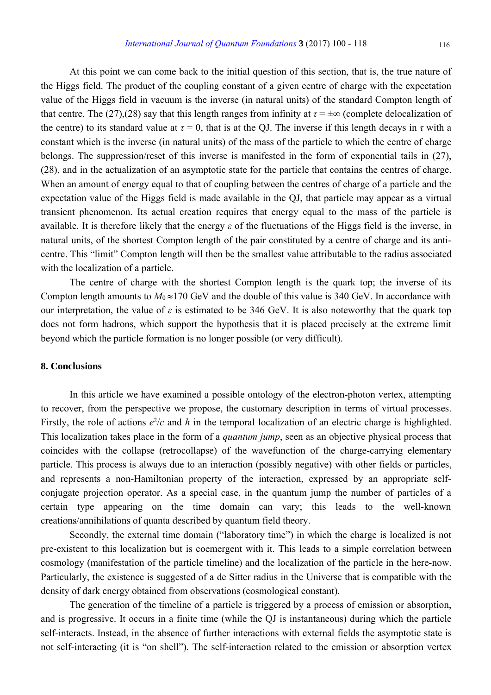At this point we can come back to the initial question of this section, that is, the true nature of the Higgs field. The product of the coupling constant of a given centre of charge with the expectation value of the Higgs field in vacuum is the inverse (in natural units) of the standard Compton length of that centre. The (27),(28) say that this length ranges from infinity at  $\tau = \pm \infty$  (complete delocalization of the centre) to its standard value at  $\tau = 0$ , that is at the QJ. The inverse if this length decays in  $\tau$  with a constant which is the inverse (in natural units) of the mass of the particle to which the centre of charge belongs. The suppression/reset of this inverse is manifested in the form of exponential tails in (27), (28), and in the actualization of an asymptotic state for the particle that contains the centres of charge. When an amount of energy equal to that of coupling between the centres of charge of a particle and the expectation value of the Higgs field is made available in the QJ, that particle may appear as a virtual transient phenomenon. Its actual creation requires that energy equal to the mass of the particle is available. It is therefore likely that the energy *ε* of the fluctuations of the Higgs field is the inverse, in natural units, of the shortest Compton length of the pair constituted by a centre of charge and its anticentre. This "limit" Compton length will then be the smallest value attributable to the radius associated with the localization of a particle.

The centre of charge with the shortest Compton length is the quark top; the inverse of its Compton length amounts to  $M_0 \approx 170$  GeV and the double of this value is 340 GeV. In accordance with our interpretation, the value of  $\varepsilon$  is estimated to be 346 GeV. It is also noteworthy that the quark top does not form hadrons, which support the hypothesis that it is placed precisely at the extreme limit beyond which the particle formation is no longer possible (or very difficult).

### **8. Conclusions**

In this article we have examined a possible ontology of the electron-photon vertex, attempting to recover, from the perspective we propose, the customary description in terms of virtual processes. Firstly, the role of actions  $e^2/c$  and h in the temporal localization of an electric charge is highlighted. This localization takes place in the form of a *quantum jump*, seen as an objective physical process that coincides with the collapse (retrocollapse) of the wavefunction of the charge-carrying elementary particle. This process is always due to an interaction (possibly negative) with other fields or particles, and represents a non-Hamiltonian property of the interaction, expressed by an appropriate selfconjugate projection operator. As a special case, in the quantum jump the number of particles of a certain type appearing on the time domain can vary; this leads to the well-known creations/annihilations of quanta described by quantum field theory.

Secondly, the external time domain ("laboratory time") in which the charge is localized is not pre-existent to this localization but is coemergent with it. This leads to a simple correlation between cosmology (manifestation of the particle timeline) and the localization of the particle in the here-now. Particularly, the existence is suggested of a de Sitter radius in the Universe that is compatible with the density of dark energy obtained from observations (cosmological constant).

The generation of the timeline of a particle is triggered by a process of emission or absorption, and is progressive. It occurs in a finite time (while the QJ is instantaneous) during which the particle self-interacts. Instead, in the absence of further interactions with external fields the asymptotic state is not self-interacting (it is "on shell"). The self-interaction related to the emission or absorption vertex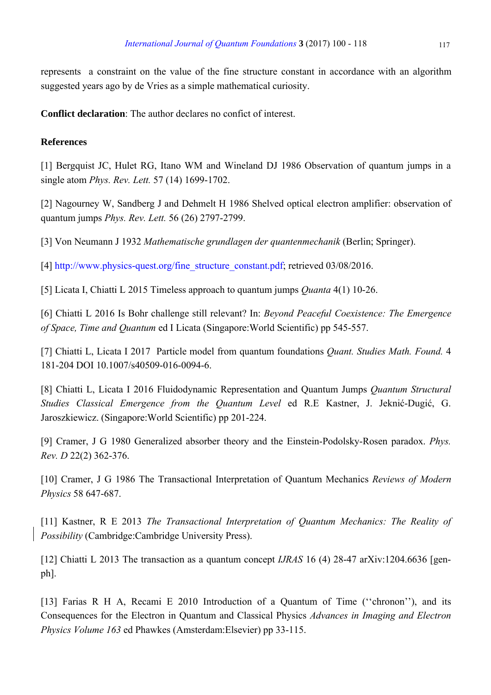represents a constraint on the value of the fine structure constant in accordance with an algorithm suggested years ago by de Vries as a simple mathematical curiosity.

**Conflict declaration**: The author declares no confict of interest.

# **References**

[1] Bergquist JC, Hulet RG, Itano WM and Wineland DJ 1986 Observation of quantum jumps in a single atom *Phys. Rev. Lett.* 57 (14) 1699-1702.

[2] Nagourney W, Sandberg J and Dehmelt H 1986 Shelved optical electron amplifier: observation of quantum jumps *Phys. Rev. Lett.* 56 (26) 2797-2799.

[3] Von Neumann J 1932 *Mathematische grundlagen der quantenmechanik* (Berlin; Springer).

[4] http://www.physics-quest.org/fine\_structure\_constant.pdf; retrieved 03/08/2016.

[5] Licata I, Chiatti L 2015 Timeless approach to quantum jumps *Quanta* 4(1) 10-26.

[6] Chiatti L 2016 Is Bohr challenge still relevant? In: *Beyond Peaceful Coexistence: The Emergence of Space, Time and Quantum* ed I Licata (Singapore:World Scientific) pp 545-557.

[7] Chiatti L, Licata I 2017 Particle model from quantum foundations *Quant. Studies Math. Found.* 4 181-204 DOI 10.1007/s40509-016-0094-6.

[8] Chiatti L, Licata I 2016 Fluidodynamic Representation and Quantum Jumps *Quantum Structural Studies Classical Emergence from the Quantum Level* ed R.E Kastner, J. Jeknić-Dugić, G. Jaroszkiewicz. (Singapore:World Scientific) pp 201-224.

[9] Cramer, J G 1980 Generalized absorber theory and the Einstein-Podolsky-Rosen paradox. *Phys. Rev. D* 22(2) 362-376.

[10] Cramer, J G 1986 The Transactional Interpretation of Quantum Mechanics *Reviews of Modern Physics* 58 647-687.

[11] Kastner, R E 2013 *The Transactional Interpretation of Quantum Mechanics: The Reality of Possibility* (Cambridge:Cambridge University Press).

[12] Chiatti L 2013 The transaction as a quantum concept *IJRAS* 16 (4) 28-47 arXiv:1204.6636 [genph].

[13] Farias R H A, Recami E 2010 Introduction of a Quantum of Time ("chronon"), and its Consequences for the Electron in Quantum and Classical Physics *Advances in Imaging and Electron Physics Volume 163* ed Phawkes (Amsterdam:Elsevier) pp 33-115.